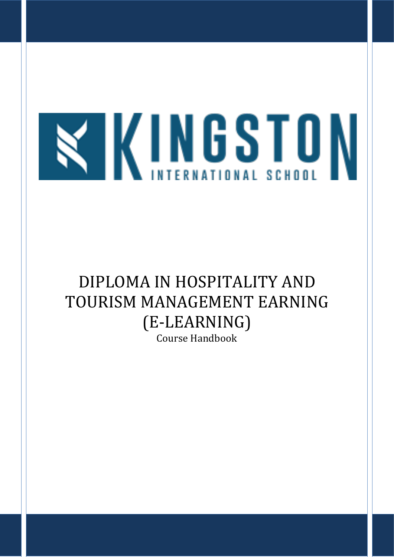

# DIPLOMA IN HOSPITALITY AND TOURISM MANAGEMENT EARNING (E-LEARNING)

Course Handbook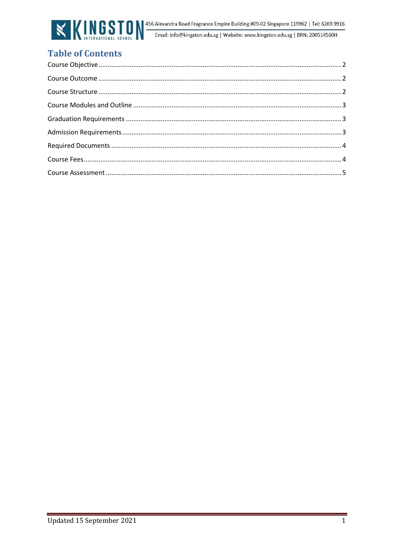

# **Table of Contents**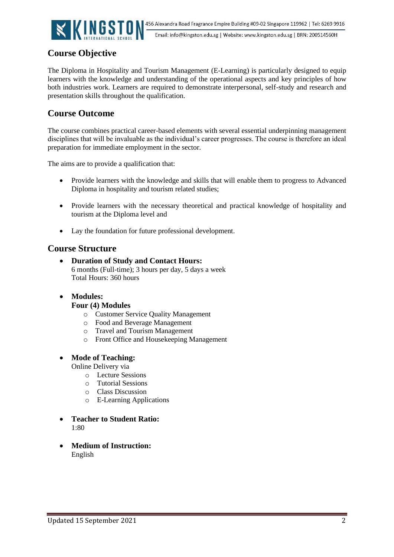

# <span id="page-2-0"></span>**Course Objective**

<span id="page-2-1"></span>The Diploma in Hospitality and Tourism Management (E-Learning) is particularly designed to equip learners with the knowledge and understanding of the operational aspects and key principles of how both industries work. Learners are required to demonstrate interpersonal, self-study and research and presentation skills throughout the qualification.

# **Course Outcome**

<span id="page-2-2"></span>The course combines practical career-based elements with several essential underpinning management disciplines that will be invaluable as the individual's career progresses. The course is therefore an ideal preparation for immediate employment in the sector.

The aims are to provide a qualification that:

- Provide learners with the knowledge and skills that will enable them to progress to Advanced Diploma in hospitality and tourism related studies;
- Provide learners with the necessary theoretical and practical knowledge of hospitality and tourism at the Diploma level and
- Lay the foundation for future professional development.

## **Course Structure**

• **Duration of Study and Contact Hours:**  6 months (Full-time); 3 hours per day, 5 days a week Total Hours: 360 hours

#### • **Modules:**

#### **Four (4) Modules**

- o Customer Service Quality Management
- o Food and Beverage Management
- o Travel and Tourism Management
- o Front Office and Housekeeping Management

#### • **Mode of Teaching:**

Online Delivery via

- o Lecture Sessions
- o Tutorial Sessions
- o Class Discussion
- o E-Learning Applications
- **Teacher to Student Ratio:**  1:80
- **Medium of Instruction:** English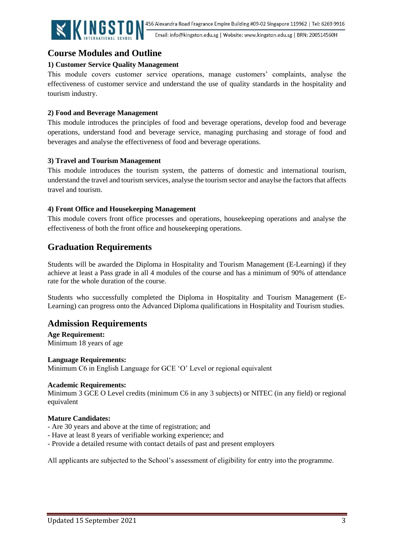

Email: info@kingston.edu.sg | Website: www.kingston.edu.sg | BRN: 200514560H

# <span id="page-3-0"></span>**Course Modules and Outline**

#### <span id="page-3-1"></span>**1) Customer Service Quality Management**

This module covers customer service operations, manage customers' complaints, analyse the effectiveness of customer service and understand the use of quality standards in the hospitality and tourism industry.

#### **2) Food and Beverage Management**

This module introduces the principles of food and beverage operations, develop food and beverage operations, understand food and beverage service, managing purchasing and storage of food and beverages and analyse the effectiveness of food and beverage operations.

#### **3) Travel and Tourism Management**

This module introduces the tourism system, the patterns of domestic and international tourism, understand the travel and tourism services, analyse the tourism sector and anaylse the factors that affects travel and tourism.

#### **4) Front Office and Housekeeping Management**

This module covers front office processes and operations, housekeeping operations and analyse the effectiveness of both the front office and housekeeping operations.

# **Graduation Requirements**

<span id="page-3-2"></span>Students will be awarded the Diploma in Hospitality and Tourism Management (E-Learning) if they achieve at least a Pass grade in all 4 modules of the course and has a minimum of 90% of attendance rate for the whole duration of the course.

Students who successfully completed the Diploma in Hospitality and Tourism Management (E-Learning) can progress onto the Advanced Diploma qualifications in Hospitality and Tourism studies.

## **Admission Requirements**

**Age Requirement:** Minimum 18 years of age

**Language Requirements:** Minimum C6 in English Language for GCE 'O' Level or regional equivalent

#### **Academic Requirements:**

Minimum 3 GCE O Level credits (minimum C6 in any 3 subjects) or NITEC (in any field) or regional equivalent

#### **Mature Candidates:**

- Are 30 years and above at the time of registration; and
- Have at least 8 years of verifiable working experience; and
- Provide a detailed resume with contact details of past and present employers

<span id="page-3-3"></span>All applicants are subjected to the School's assessment of eligibility for entry into the programme.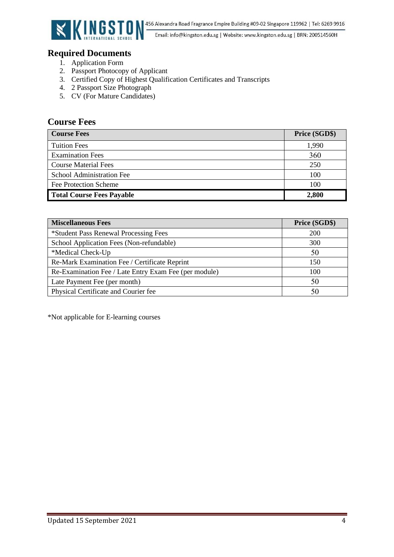

# **Required Documents**

- 1. Application Form
- 2. Passport Photocopy of Applicant
- 3. Certified Copy of Highest Qualification Certificates and Transcripts
- 4. 2 Passport Size Photograph
- 5. CV (For Mature Candidates)

# <span id="page-4-0"></span>**Course Fees**

| <b>Course Fees</b>               | Price (SGD\$) |
|----------------------------------|---------------|
| <b>Tuition Fees</b>              | 1,990         |
| <b>Examination Fees</b>          | 360           |
| <b>Course Material Fees</b>      | 250           |
| <b>School Administration Fee</b> | 100           |
| Fee Protection Scheme            | 100           |
| <b>Total Course Fees Payable</b> | 2,800         |

| <b>Miscellaneous Fees</b>                             | Price (SGD\$) |
|-------------------------------------------------------|---------------|
| *Student Pass Renewal Processing Fees                 | <b>200</b>    |
| School Application Fees (Non-refundable)              | 300           |
| *Medical Check-Up                                     | 50            |
| Re-Mark Examination Fee / Certificate Reprint         | 150           |
| Re-Examination Fee / Late Entry Exam Fee (per module) | 100           |
| Late Payment Fee (per month)                          | 50            |
| Physical Certificate and Courier fee                  | 50            |

\*Not applicable for E-learning courses